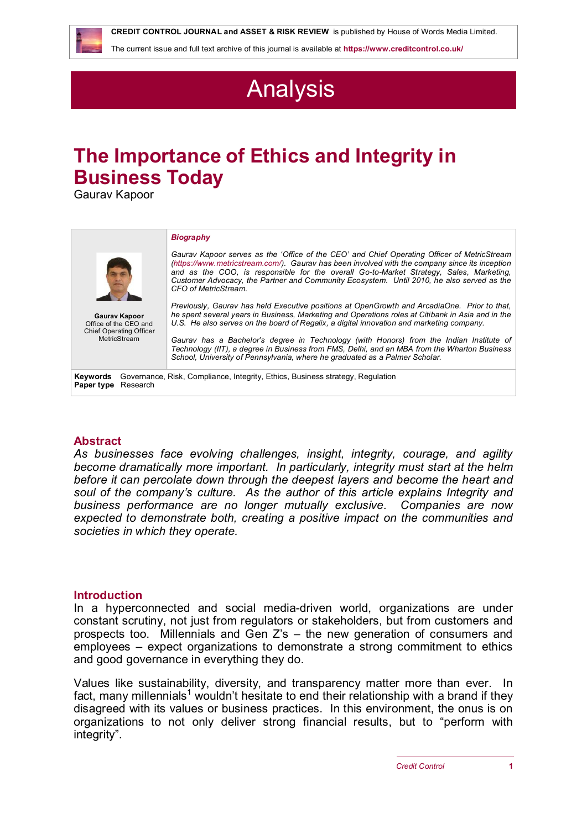**CREDIT CONTROL JOURNAL and ASSET & RISK REVIEW** is published by House of Words Media Limited.

The current issue and full text archive of this journal is available at **<https://www.creditcontrol.co.uk/>**

# Analysis

## **The Importance of Ethics and Integrity in Business Today**

Gaurav Kapoor

|                                                                                                                   | <b>Biography</b>                                                                                                                                                                                                                                                                                                                                                                                              |
|-------------------------------------------------------------------------------------------------------------------|---------------------------------------------------------------------------------------------------------------------------------------------------------------------------------------------------------------------------------------------------------------------------------------------------------------------------------------------------------------------------------------------------------------|
|                                                                                                                   | Gaurav Kapoor serves as the 'Office of the CEO' and Chief Operating Officer of MetricStream<br>(https://www.metricstream.com/). Gaurav has been involved with the company since its inception<br>and as the COO, is responsible for the overall Go-to-Market Strategy, Sales, Marketing,<br>Customer Advocacy, the Partner and Community Ecosystem. Until 2010, he also served as the<br>CFO of MetricStream. |
| <b>Gaurav Kapoor</b><br>Office of the CEO and<br><b>Chief Operating Officer</b>                                   | Previously, Gauray has held Executive positions at OpenGrowth and ArcadiaOne. Prior to that,<br>he spent several years in Business, Marketing and Operations roles at Citibank in Asia and in the<br>U.S. He also serves on the board of Regalix, a digital innovation and marketing company.                                                                                                                 |
| MetricStream                                                                                                      | Gaurav has a Bachelor's degree in Technology (with Honors) from the Indian Institute of<br>Technology (IIT), a degree in Business from FMS, Delhi, and an MBA from the Wharton Business<br>School, University of Pennsylvania, where he graduated as a Palmer Scholar.                                                                                                                                        |
| Governance, Risk, Compliance, Integrity, Ethics, Business strategy, Regulation<br>Keywords<br>Paper type Research |                                                                                                                                                                                                                                                                                                                                                                                                               |

### **Abstract**

*As businesses face evolving challenges, insight, integrity, courage, and agility become dramatically more important. In particularly, integrity must start at the helm before it can percolate down through the deepest layers and become the heart and soul of the company's culture. As the author of this article explains Integrity and business performance are no longer mutually exclusive. Companies are now expected to demonstrate both, creating a positive impact on the communities and societies in which they operate.* 

### **Introduction**

In a hyperconnected and social media-driven world, organizations are under constant scrutiny, not just from regulators or stakeholders, but from customers and prospects too. Millennials and Gen Z's – the new generation of consumers and employees – expect organizations to demonstrate a strong commitment to ethics and good governance in everything they do.

Values like sustainability, diversity, and transparency matter more than ever. In fact, many millennials<sup>1</sup> wouldn't hesitate to end their relationship with a brand if they disagreed with its values or business practices. In this environment, the onus is on organizations to not only deliver strong financial results, but to "perform with integrity".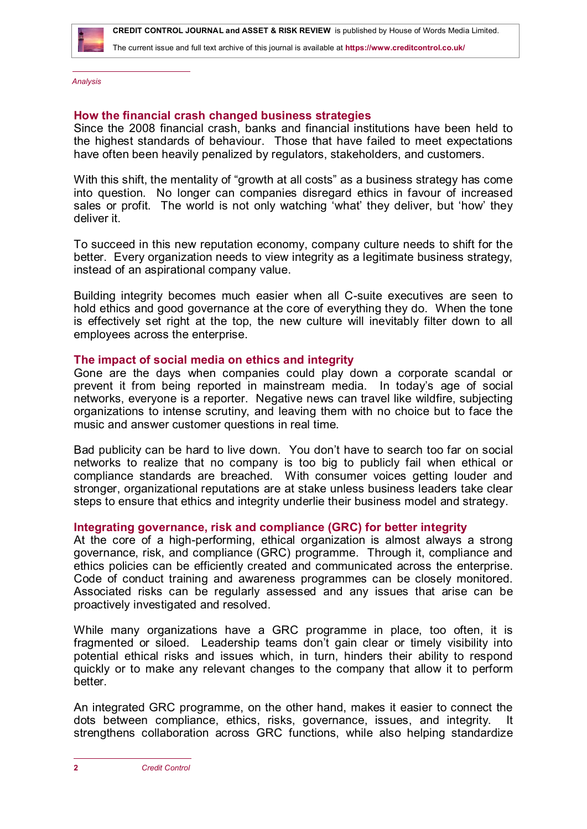

The current issue and full text archive of this journal is available at **<https://www.creditcontrol.co.uk/>**

*Analysis*

#### **How the financial crash changed business strategies**

Since the 2008 financial crash, banks and financial institutions have been held to the highest standards of behaviour. Those that have failed to meet expectations have often been heavily penalized by regulators, stakeholders, and customers.

With this shift, the mentality of "growth at all costs" as a business strategy has come into question. No longer can companies disregard ethics in favour of increased sales or profit. The world is not only watching 'what' they deliver, but 'how' they deliver it.

To succeed in this new reputation economy, company culture needs to shift for the better. Every organization needs to view integrity as a legitimate business strategy, instead of an aspirational company value.

Building integrity becomes much easier when all C-suite executives are seen to hold ethics and good governance at the core of everything they do. When the tone is effectively set right at the top, the new culture will inevitably filter down to all employees across the enterprise.

#### **The impact of social media on ethics and integrity**

Gone are the days when companies could play down a corporate scandal or prevent it from being reported in mainstream media. In today's age of social networks, everyone is a reporter. Negative news can travel like wildfire, subjecting organizations to intense scrutiny, and leaving them with no choice but to face the music and answer customer questions in real time.

Bad publicity can be hard to live down. You don't have to search too far on social networks to realize that no company is too big to publicly fail when ethical or compliance standards are breached. With consumer voices getting louder and stronger, organizational reputations are at stake unless business leaders take clear steps to ensure that ethics and integrity underlie their business model and strategy.

#### **Integrating governance, risk and compliance (GRC) for better integrity**

At the core of a high-performing, ethical organization is almost always a strong governance, risk, and compliance (GRC) programme. Through it, compliance and ethics policies can be efficiently created and communicated across the enterprise. Code of conduct training and awareness programmes can be closely monitored. Associated risks can be regularly assessed and any issues that arise can be proactively investigated and resolved.

While many organizations have a GRC programme in place, too often, it is fragmented or siloed. Leadership teams don't gain clear or timely visibility into potential ethical risks and issues which, in turn, hinders their ability to respond quickly or to make any relevant changes to the company that allow it to perform better.

An integrated GRC programme, on the other hand, makes it easier to connect the dots between compliance, ethics, risks, governance, issues, and integrity. strengthens collaboration across GRC functions, while also helping standardize